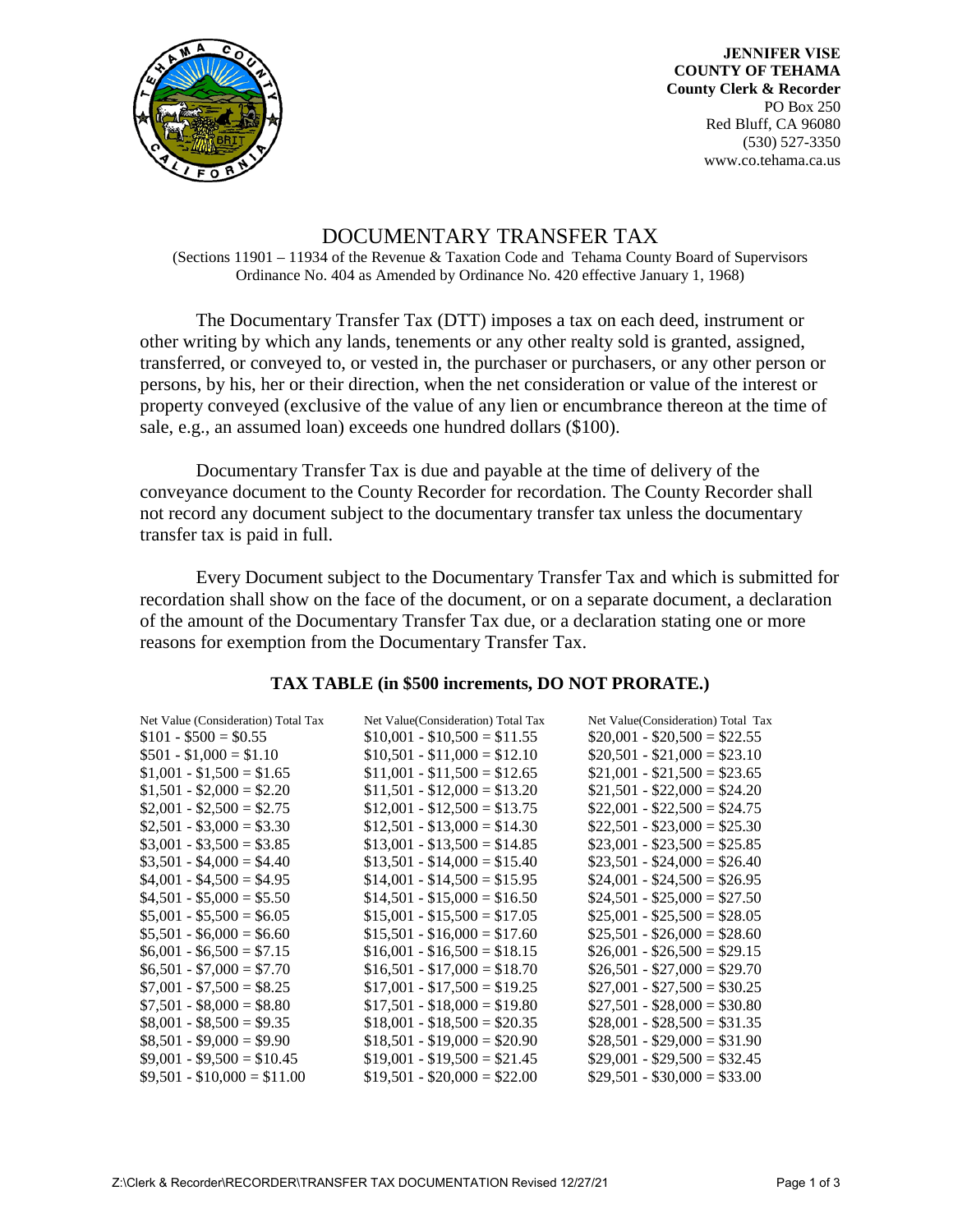

**JENNIFER VISE COUNTY OF TEHAMA County Clerk & Recorder**  PO Box 250 Red Bluff, CA 96080 (530) 527-3350 www.co.tehama.ca.us

## DOCUMENTARY TRANSFER TAX

(Sections 11901 – 11934 of the Revenue & Taxation Code and Tehama County Board of Supervisors Ordinance No. 404 as Amended by Ordinance No. 420 effective January 1, 1968)

The Documentary Transfer Tax (DTT) imposes a tax on each deed, instrument or other writing by which any lands, tenements or any other realty sold is granted, assigned, transferred, or conveyed to, or vested in, the purchaser or purchasers, or any other person or persons, by his, her or their direction, when the net consideration or value of the interest or property conveyed (exclusive of the value of any lien or encumbrance thereon at the time of sale, e.g., an assumed loan) exceeds one hundred dollars (\$100).

Documentary Transfer Tax is due and payable at the time of delivery of the conveyance document to the County Recorder for recordation. The County Recorder shall not record any document subject to the documentary transfer tax unless the documentary transfer tax is paid in full.

Every Document subject to the Documentary Transfer Tax and which is submitted for recordation shall show on the face of the document, or on a separate document, a declaration of the amount of the Documentary Transfer Tax due, or a declaration stating one or more reasons for exemption from the Documentary Transfer Tax.

## **TAX TABLE (in \$500 increments, DO NOT PRORATE.)**

| Net Value (Consideration) Total Tax | Net Value(Consideration) Total Tax | Net Value(Consideration) Total Tax |
|-------------------------------------|------------------------------------|------------------------------------|
| $$101 - $500 = $0.55$               | $$10,001 - $10,500 = $11.55$       | $$20,001 - $20,500 = $22.55$       |
| $$501 - $1,000 = $1.10$             | $$10,501 - $11,000 = $12.10$       | $$20,501 - $21,000 = $23.10$       |
| $$1,001 - $1,500 = $1.65$           | $$11,001 - $11,500 = $12.65$       | $$21,001 - $21,500 = $23.65$       |
| $$1,501 - $2,000 = $2,20$           | $$11,501 - $12,000 = $13.20$       | $$21,501 - $22,000 = $24.20$       |
| $$2,001 - $2,500 = $2.75$           | $$12,001 - $12,500 = $13.75$       | $$22,001 - $22,500 = $24.75$       |
| $$2,501 - $3,000 = $3.30$           | $$12,501 - $13,000 = $14.30$       | $$22,501 - $23,000 = $25.30$       |
| $$3,001 - $3,500 = $3.85$           | $$13,001 - $13,500 = $14.85$       | $$23,001 - $23,500 = $25.85$       |
| $$3,501 - $4,000 = $4.40$           | $$13,501 - $14,000 = $15.40$       | $$23,501 - $24,000 = $26.40$       |
| $$4,001 - $4,500 = $4.95$           | $$14,001 - $14,500 = $15.95$       | $$24,001 - $24,500 = $26.95$       |
| $$4,501 - $5,000 = $5.50$           | $$14,501 - $15,000 = $16.50$       | $$24,501 - $25,000 = $27.50$       |
| $$5,001 - $5,500 = $6.05$           | $$15,001 - $15,500 = $17.05$       | $$25,001 - $25,500 = $28.05$       |
| $$5,501 - $6,000 = $6.60$           | $$15,501 - $16,000 = $17.60$       | $$25,501 - $26,000 = $28.60$       |
| $$6,001 - $6,500 = $7.15$           | $$16,001 - $16,500 = $18.15$       | $$26,001 - $26,500 = $29.15$       |
| $$6,501 - $7,000 = $7.70$           | $$16,501 - $17,000 = $18.70$       | $$26,501 - $27,000 = $29.70$       |
| $$7,001 - $7,500 = $8.25$           | $$17,001 - $17,500 = $19.25$       | $$27,001 - $27,500 = $30.25$       |
| $$7,501 - $8,000 = $8.80$           | $$17,501 - $18,000 = $19.80$       | $$27,501 - $28,000 = $30.80$       |
| $$8,001 - $8,500 = $9.35$           | $$18,001 - $18,500 = $20.35$       | $$28,001 - $28,500 = $31.35$       |
| $$8,501 - $9,000 = $9.90$           | $$18,501 - $19,000 = $20.90$       | $$28,501 - $29,000 = $31.90$       |
| $$9,001 - $9,500 = $10.45$          | $$19,001 - $19,500 = $21.45$       | $$29,001 - $29,500 = $32.45$       |
| $$9,501 - $10,000 = $11.00$         | $$19,501 - $20,000 = $22.00$       | $$29,501 - $30,000 = $33.00$       |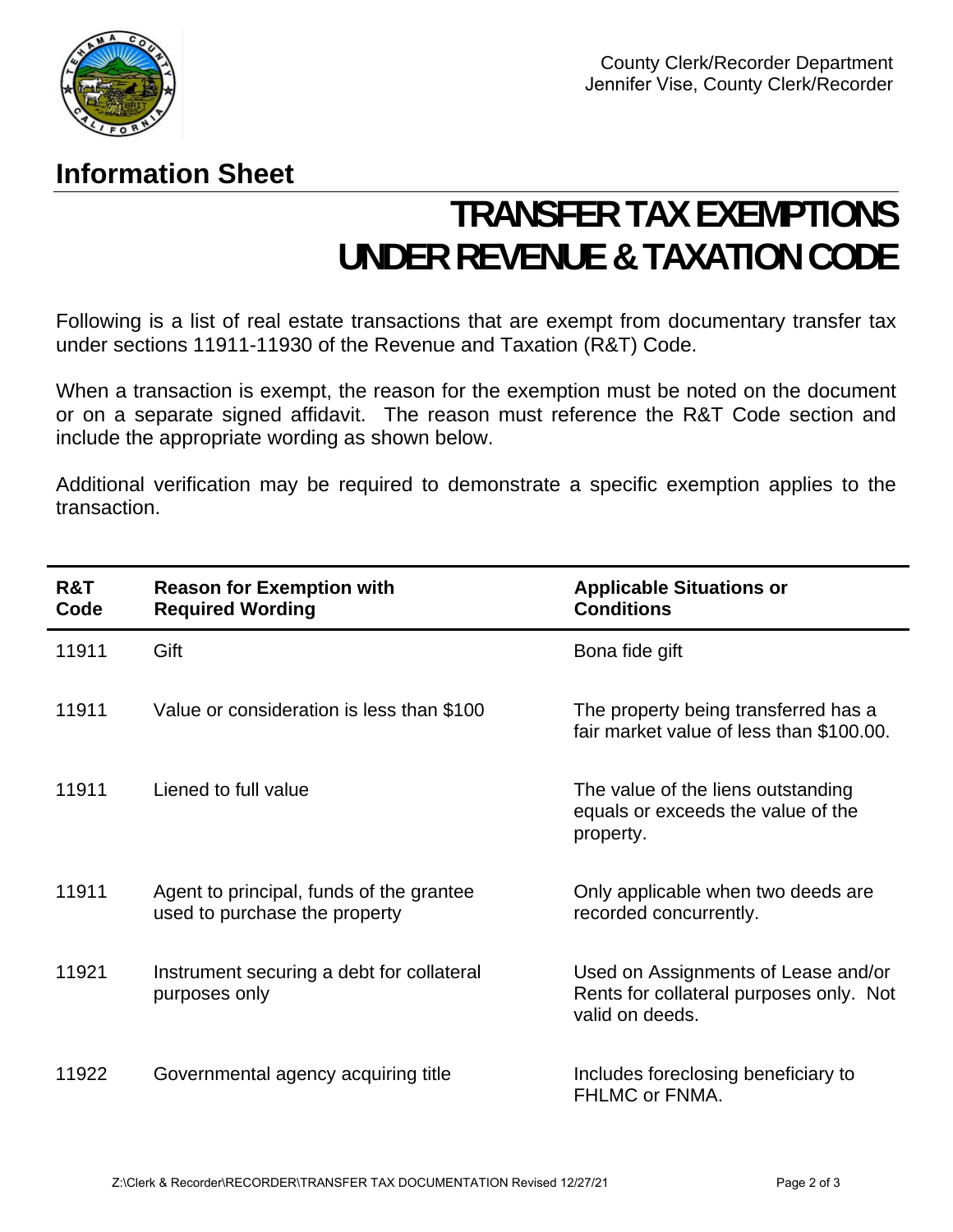

## **Information Sheet**

## **TRANSFER TAX EXEMPTIONS UNDER REVENUE & TAXATION CODE**

Following is a list of real estate transactions that are exempt from documentary transfer tax under sections 11911-11930 of the Revenue and Taxation (R&T) Code.

When a transaction is exempt, the reason for the exemption must be noted on the document or on a separate signed affidavit. The reason must reference the R&T Code section and include the appropriate wording as shown below.

Additional verification may be required to demonstrate a specific exemption applies to the transaction.

| R&T<br>Code | <b>Reason for Exemption with</b><br><b>Required Wording</b>               | <b>Applicable Situations or</b><br><b>Conditions</b>                                              |
|-------------|---------------------------------------------------------------------------|---------------------------------------------------------------------------------------------------|
| 11911       | Gift                                                                      | Bona fide gift                                                                                    |
| 11911       | Value or consideration is less than \$100                                 | The property being transferred has a<br>fair market value of less than \$100.00.                  |
| 11911       | Liened to full value                                                      | The value of the liens outstanding<br>equals or exceeds the value of the<br>property.             |
| 11911       | Agent to principal, funds of the grantee<br>used to purchase the property | Only applicable when two deeds are<br>recorded concurrently.                                      |
| 11921       | Instrument securing a debt for collateral<br>purposes only                | Used on Assignments of Lease and/or<br>Rents for collateral purposes only. Not<br>valid on deeds. |
| 11922       | Governmental agency acquiring title                                       | Includes foreclosing beneficiary to<br>FHLMC or FNMA.                                             |